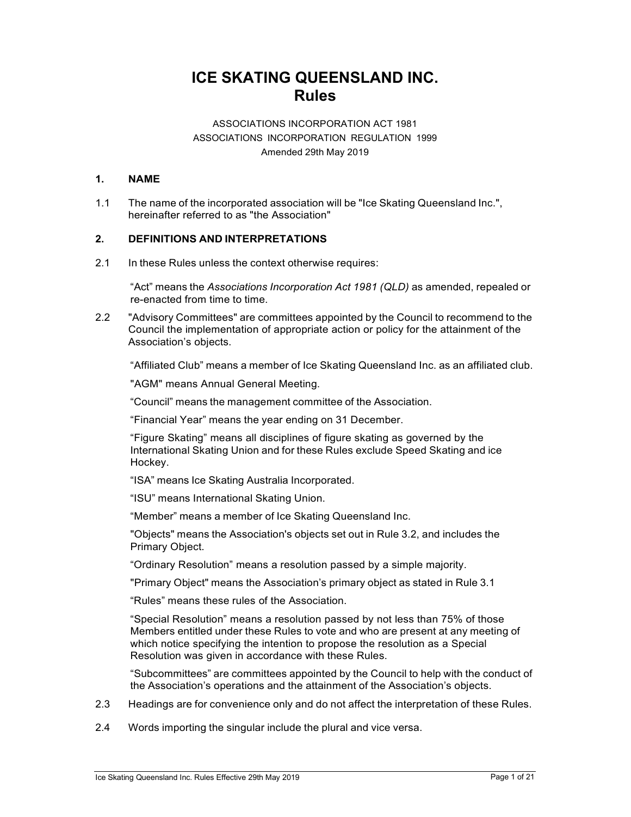# **ICE SKATING QUEENSLAND INC. Rules**

# ASSOCIATIONS INCORPORATION ACT 1981 ASSOCIATIONS INCORPORATION REGULATION 1999 Amended 29th May 2019

# **1. NAME**

1.1 The name of the incorporated association will be "Ice Skating Queensland Inc.", hereinafter referred to as "the Association"

# **2. DEFINITIONS AND INTERPRETATIONS**

2.1 In these Rules unless the context otherwise requires:

"Act" means the *Associations Incorporation Act 1981 (QLD)* as amended, repealed or re-enacted from time to time.

2.2 "Advisory Committees" are committees appointed by the Council to recommend to the Council the implementation of appropriate action or policy for the attainment of the Association's objects.

"Affiliated Club" means a member of Ice Skating Queensland Inc. as an affiliated club.

"AGM" means Annual General Meeting.

"Council" means the management committee of the Association.

"Financial Year" means the year ending on 31 December.

"Figure Skating" means all disciplines of figure skating as governed by the International Skating Union and for these Rules exclude Speed Skating and ice Hockey.

"ISA" means Ice Skating Australia Incorporated.

"ISU" means International Skating Union.

"Member" means a member of Ice Skating Queensland Inc.

"Objects" means the Association's objects set out in Rule 3.2, and includes the Primary Object.

"Ordinary Resolution" means a resolution passed by a simple majority.

"Primary Object" means the Association's primary object as stated in Rule 3.1

"Rules" means these rules of the Association.

"Special Resolution" means a resolution passed by not less than 75% of those Members entitled under these Rules to vote and who are present at any meeting of which notice specifying the intention to propose the resolution as a Special Resolution was given in accordance with these Rules.

"Subcommittees" are committees appointed by the Council to help with the conduct of the Association's operations and the attainment of the Association's objects.

- 2.3 Headings are for convenience only and do not affect the interpretation of these Rules.
- 2.4 Words importing the singular include the plural and vice versa.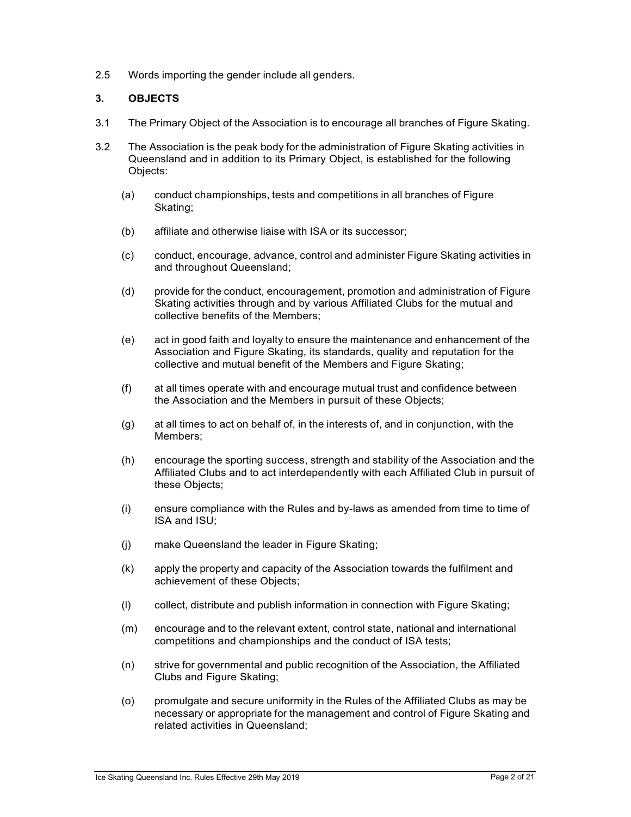2.5 Words importing the gender include all genders.

## **3. OBJECTS**

- 3.1 The Primary Object of the Association is to encourage all branches of Figure Skating.
- 3.2 The Association is the peak body for the administration of Figure Skating activities in Queensland and in addition to its Primary Object, is established for the following Objects:
	- (a) conduct championships, tests and competitions in all branches of Figure Skating;
	- (b) affiliate and otherwise liaise with ISA or its successor;
	- (c) conduct, encourage, advance, control and administer Figure Skating activities in and throughout Queensland;
	- (d) provide for the conduct, encouragement, promotion and administration of Figure Skating activities through and by various Affiliated Clubs for the mutual and collective benefits of the Members;
	- (e) act in good faith and loyalty to ensure the maintenance and enhancement of the Association and Figure Skating, its standards, quality and reputation for the collective and mutual benefit of the Members and Figure Skating;
	- (f) at all times operate with and encourage mutual trust and confidence between the Association and the Members in pursuit of these Objects;
	- (g) at all times to act on behalf of, in the interests of, and in conjunction, with the Members;
	- (h) encourage the sporting success, strength and stability of the Association and the Affiliated Clubs and to act interdependently with each Affiliated Club in pursuit of these Objects;
	- (i) ensure compliance with the Rules and by-laws as amended from time to time of ISA and ISU;
	- (j) make Queensland the leader in Figure Skating;
	- (k) apply the property and capacity of the Association towards the fulfilment and achievement of these Objects;
	- (l) collect, distribute and publish information in connection with Figure Skating;
	- (m) encourage and to the relevant extent, control state, national and international competitions and championships and the conduct of ISA tests;
	- (n) strive for governmental and public recognition of the Association, the Affiliated Clubs and Figure Skating;
	- (o) promulgate and secure uniformity in the Rules of the Affiliated Clubs as may be necessary or appropriate for the management and control of Figure Skating and related activities in Queensland;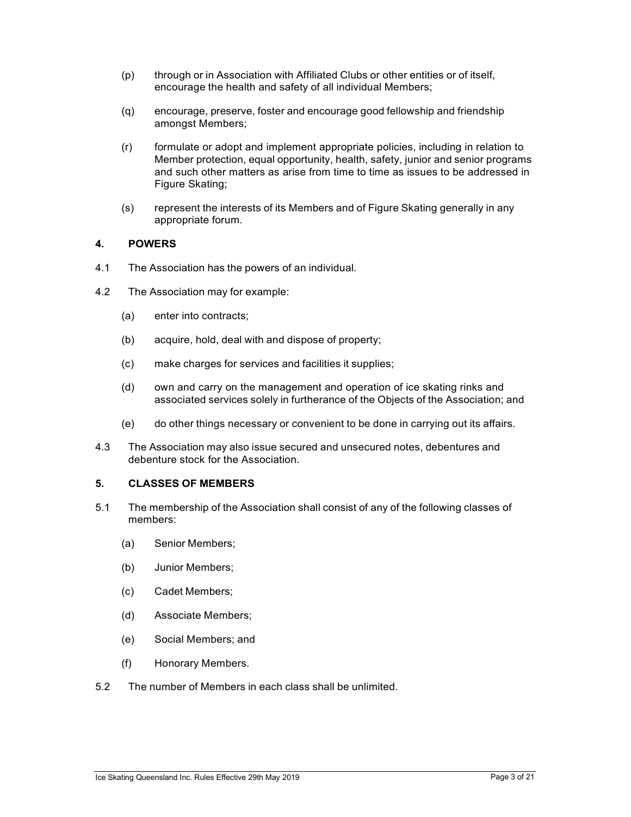- (p) through or in Association with Affiliated Clubs or other entities or of itself, encourage the health and safety of all individual Members;
- (q) encourage, preserve, foster and encourage good fellowship and friendship amongst Members;
- (r) formulate or adopt and implement appropriate policies, including in relation to Member protection, equal opportunity, health, safety, junior and senior programs and such other matters as arise from time to time as issues to be addressed in Figure Skating;
- (s) represent the interests of its Members and of Figure Skating generally in any appropriate forum.

#### **4. POWERS**

- 4.1 The Association has the powers of an individual.
- 4.2 The Association may for example:
	- (a) enter into contracts;
	- (b) acquire, hold, deal with and dispose of property;
	- (c) make charges for services and facilities it supplies;
	- (d) own and carry on the management and operation of ice skating rinks and associated services solely in furtherance of the Objects of the Association; and
	- (e) do other things necessary or convenient to be done in carrying out its affairs.
- 4.3 The Association may also issue secured and unsecured notes, debentures and debenture stock for the Association.

#### **5. CLASSES OF MEMBERS**

- 5.1 The membership of the Association shall consist of any of the following classes of members:
	- (a) Senior Members;
	- (b) Junior Members;
	- (c) Cadet Members;
	- (d) Associate Members;
	- (e) Social Members; and
	- (f) Honorary Members.
- 5.2 The number of Members in each class shall be unlimited.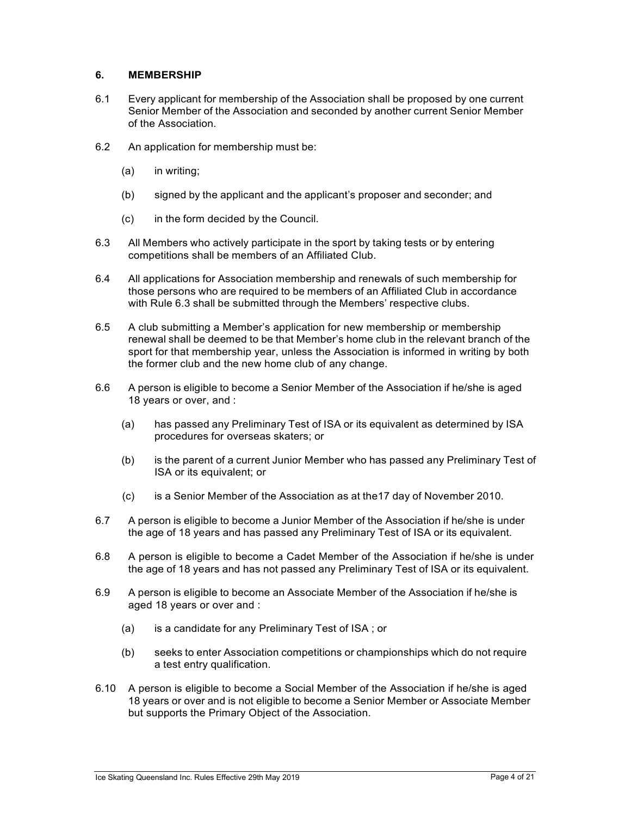## **6. MEMBERSHIP**

- 6.1 Every applicant for membership of the Association shall be proposed by one current Senior Member of the Association and seconded by another current Senior Member of the Association.
- 6.2 An application for membership must be:
	- (a) in writing;
	- (b) signed by the applicant and the applicant's proposer and seconder; and
	- (c) in the form decided by the Council.
- 6.3 All Members who actively participate in the sport by taking tests or by entering competitions shall be members of an Affiliated Club.
- 6.4 All applications for Association membership and renewals of such membership for those persons who are required to be members of an Affiliated Club in accordance with Rule 6.3 shall be submitted through the Members' respective clubs.
- 6.5 A club submitting a Member's application for new membership or membership renewal shall be deemed to be that Member's home club in the relevant branch of the sport for that membership year, unless the Association is informed in writing by both the former club and the new home club of any change.
- 6.6 A person is eligible to become a Senior Member of the Association if he/she is aged 18 years or over, and :
	- (a) has passed any Preliminary Test of ISA or its equivalent as determined by ISA procedures for overseas skaters; or
	- (b) is the parent of a current Junior Member who has passed any Preliminary Test of ISA or its equivalent; or
	- (c) is a Senior Member of the Association as at the17 day of November 2010.
- 6.7 A person is eligible to become a Junior Member of the Association if he/she is under the age of 18 years and has passed any Preliminary Test of ISA or its equivalent.
- 6.8 A person is eligible to become a Cadet Member of the Association if he/she is under the age of 18 years and has not passed any Preliminary Test of ISA or its equivalent.
- 6.9 A person is eligible to become an Associate Member of the Association if he/she is aged 18 years or over and :
	- (a) is a candidate for any Preliminary Test of ISA ; or
	- (b) seeks to enter Association competitions or championships which do not require a test entry qualification.
- 6.10 A person is eligible to become a Social Member of the Association if he/she is aged 18 years or over and is not eligible to become a Senior Member or Associate Member but supports the Primary Object of the Association.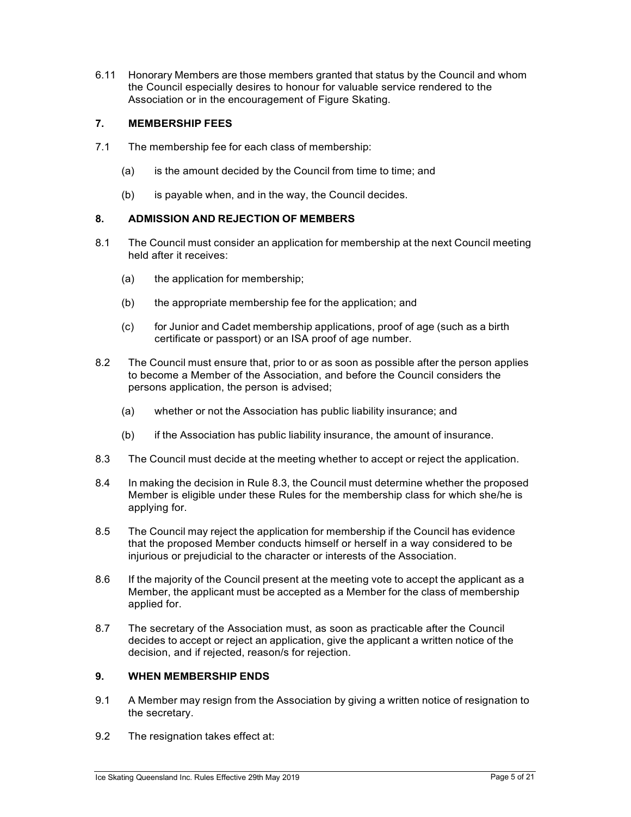6.11 Honorary Members are those members granted that status by the Council and whom the Council especially desires to honour for valuable service rendered to the Association or in the encouragement of Figure Skating.

# **7. MEMBERSHIP FEES**

- 7.1 The membership fee for each class of membership:
	- (a) is the amount decided by the Council from time to time; and
	- (b) is payable when, and in the way, the Council decides.

# **8. ADMISSION AND REJECTION OF MEMBERS**

- 8.1 The Council must consider an application for membership at the next Council meeting held after it receives:
	- (a) the application for membership;
	- (b) the appropriate membership fee for the application; and
	- (c) for Junior and Cadet membership applications, proof of age (such as a birth certificate or passport) or an ISA proof of age number.
- 8.2 The Council must ensure that, prior to or as soon as possible after the person applies to become a Member of the Association, and before the Council considers the persons application, the person is advised;
	- (a) whether or not the Association has public liability insurance; and
	- (b) if the Association has public liability insurance, the amount of insurance.
- 8.3 The Council must decide at the meeting whether to accept or reject the application.
- 8.4 In making the decision in Rule 8.3, the Council must determine whether the proposed Member is eligible under these Rules for the membership class for which she/he is applying for.
- 8.5 The Council may reject the application for membership if the Council has evidence that the proposed Member conducts himself or herself in a way considered to be injurious or prejudicial to the character or interests of the Association.
- 8.6 If the majority of the Council present at the meeting vote to accept the applicant as a Member, the applicant must be accepted as a Member for the class of membership applied for.
- 8.7 The secretary of the Association must, as soon as practicable after the Council decides to accept or reject an application, give the applicant a written notice of the decision, and if rejected, reason/s for rejection.

# **9. WHEN MEMBERSHIP ENDS**

- 9.1 A Member may resign from the Association by giving a written notice of resignation to the secretary.
- 9.2 The resignation takes effect at: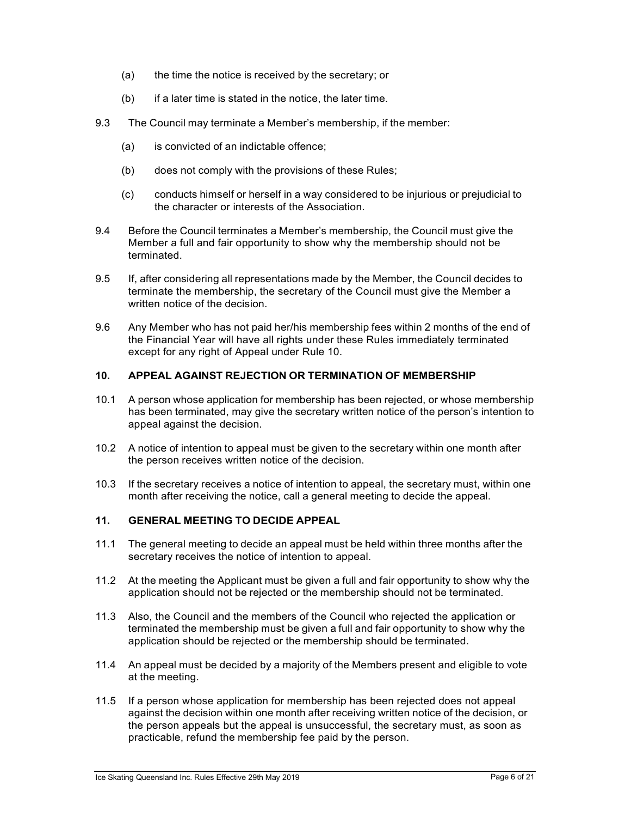- (a) the time the notice is received by the secretary; or
- $(b)$  if a later time is stated in the notice, the later time.
- 9.3 The Council may terminate a Member's membership, if the member:
	- (a) is convicted of an indictable offence;
	- (b) does not comply with the provisions of these Rules;
	- (c) conducts himself or herself in a way considered to be injurious or prejudicial to the character or interests of the Association.
- 9.4 Before the Council terminates a Member's membership, the Council must give the Member a full and fair opportunity to show why the membership should not be terminated.
- 9.5 If, after considering all representations made by the Member, the Council decides to terminate the membership, the secretary of the Council must give the Member a written notice of the decision.
- 9.6 Any Member who has not paid her/his membership fees within 2 months of the end of the Financial Year will have all rights under these Rules immediately terminated except for any right of Appeal under Rule 10.

## **10. APPEAL AGAINST REJECTION OR TERMINATION OF MEMBERSHIP**

- 10.1 A person whose application for membership has been rejected, or whose membership has been terminated, may give the secretary written notice of the person's intention to appeal against the decision.
- 10.2 A notice of intention to appeal must be given to the secretary within one month after the person receives written notice of the decision.
- 10.3 If the secretary receives a notice of intention to appeal, the secretary must, within one month after receiving the notice, call a general meeting to decide the appeal.

## **11. GENERAL MEETING TO DECIDE APPEAL**

- 11.1 The general meeting to decide an appeal must be held within three months after the secretary receives the notice of intention to appeal.
- 11.2 At the meeting the Applicant must be given a full and fair opportunity to show why the application should not be rejected or the membership should not be terminated.
- 11.3 Also, the Council and the members of the Council who rejected the application or terminated the membership must be given a full and fair opportunity to show why the application should be rejected or the membership should be terminated.
- 11.4 An appeal must be decided by a majority of the Members present and eligible to vote at the meeting.
- 11.5 If a person whose application for membership has been rejected does not appeal against the decision within one month after receiving written notice of the decision, or the person appeals but the appeal is unsuccessful, the secretary must, as soon as practicable, refund the membership fee paid by the person.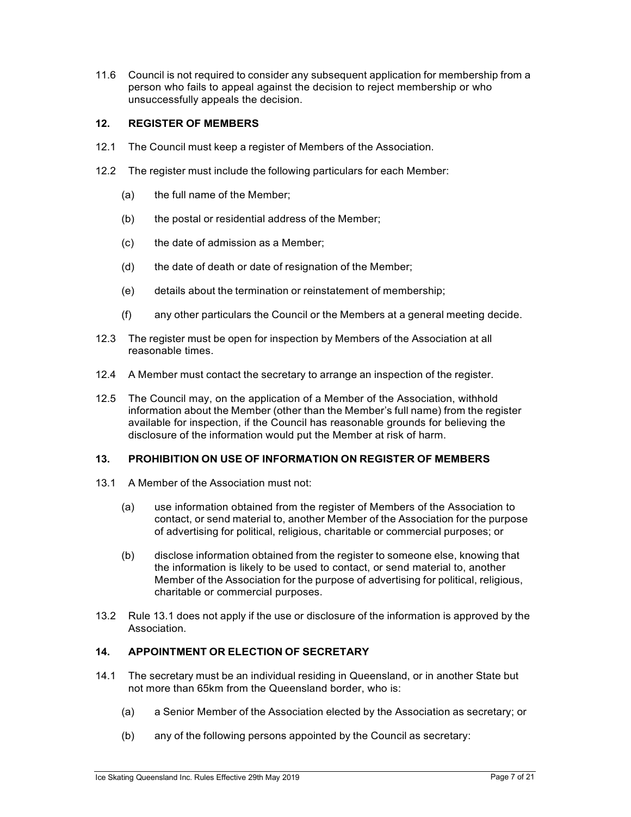11.6 Council is not required to consider any subsequent application for membership from a person who fails to appeal against the decision to reject membership or who unsuccessfully appeals the decision.

# **12. REGISTER OF MEMBERS**

- 12.1 The Council must keep a register of Members of the Association.
- 12.2 The register must include the following particulars for each Member:
	- (a) the full name of the Member;
	- (b) the postal or residential address of the Member;
	- (c) the date of admission as a Member;
	- (d) the date of death or date of resignation of the Member;
	- (e) details about the termination or reinstatement of membership;
	- (f) any other particulars the Council or the Members at a general meeting decide.
- 12.3 The register must be open for inspection by Members of the Association at all reasonable times.
- 12.4 A Member must contact the secretary to arrange an inspection of the register.
- 12.5 The Council may, on the application of a Member of the Association, withhold information about the Member (other than the Member's full name) from the register available for inspection, if the Council has reasonable grounds for believing the disclosure of the information would put the Member at risk of harm.

## **13. PROHIBITION ON USE OF INFORMATION ON REGISTER OF MEMBERS**

- 13.1 A Member of the Association must not:
	- (a) use information obtained from the register of Members of the Association to contact, or send material to, another Member of the Association for the purpose of advertising for political, religious, charitable or commercial purposes; or
	- (b) disclose information obtained from the register to someone else, knowing that the information is likely to be used to contact, or send material to, another Member of the Association for the purpose of advertising for political, religious, charitable or commercial purposes.
- 13.2 Rule 13.1 does not apply if the use or disclosure of the information is approved by the Association.

# **14. APPOINTMENT OR ELECTION OF SECRETARY**

- 14.1 The secretary must be an individual residing in Queensland, or in another State but not more than 65km from the Queensland border, who is:
	- (a) a Senior Member of the Association elected by the Association as secretary; or
	- (b) any of the following persons appointed by the Council as secretary: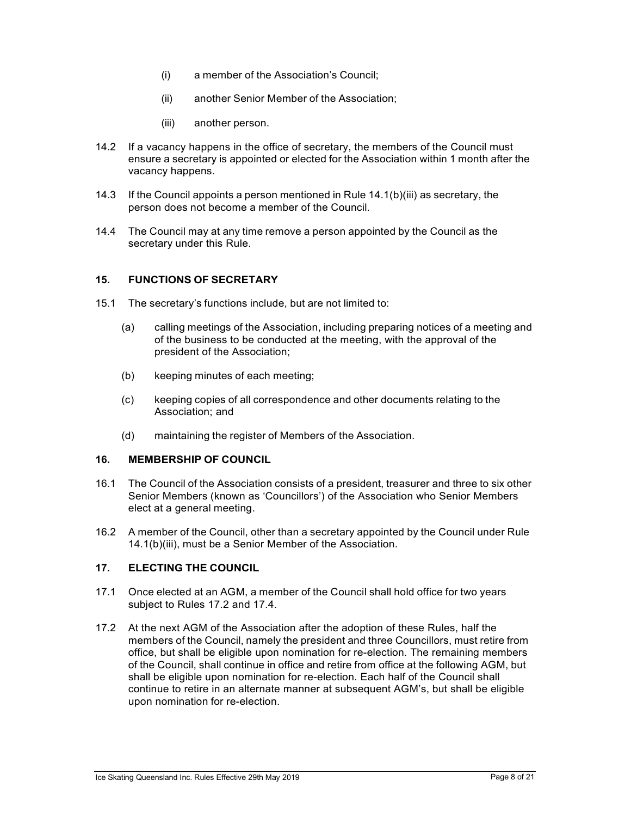- (i) a member of the Association's Council;
- (ii) another Senior Member of the Association;
- (iii) another person.
- 14.2 If a vacancy happens in the office of secretary, the members of the Council must ensure a secretary is appointed or elected for the Association within 1 month after the vacancy happens.
- 14.3 If the Council appoints a person mentioned in Rule 14.1(b)(iii) as secretary, the person does not become a member of the Council.
- 14.4 The Council may at any time remove a person appointed by the Council as the secretary under this Rule.

#### **15. FUNCTIONS OF SECRETARY**

- 15.1 The secretary's functions include, but are not limited to:
	- (a) calling meetings of the Association, including preparing notices of a meeting and of the business to be conducted at the meeting, with the approval of the president of the Association;
	- (b) keeping minutes of each meeting;
	- (c) keeping copies of all correspondence and other documents relating to the Association; and
	- (d) maintaining the register of Members of the Association.

## **16. MEMBERSHIP OF COUNCIL**

- 16.1 The Council of the Association consists of a president, treasurer and three to six other Senior Members (known as 'Councillors') of the Association who Senior Members elect at a general meeting.
- 16.2 A member of the Council, other than a secretary appointed by the Council under Rule 14.1(b)(iii), must be a Senior Member of the Association.

# **17. ELECTING THE COUNCIL**

- 17.1 Once elected at an AGM, a member of the Council shall hold office for two years subject to Rules 17.2 and 17.4.
- 17.2 At the next AGM of the Association after the adoption of these Rules, half the members of the Council, namely the president and three Councillors, must retire from office, but shall be eligible upon nomination for re-election. The remaining members of the Council, shall continue in office and retire from office at the following AGM, but shall be eligible upon nomination for re-election. Each half of the Council shall continue to retire in an alternate manner at subsequent AGM's, but shall be eligible upon nomination for re-election.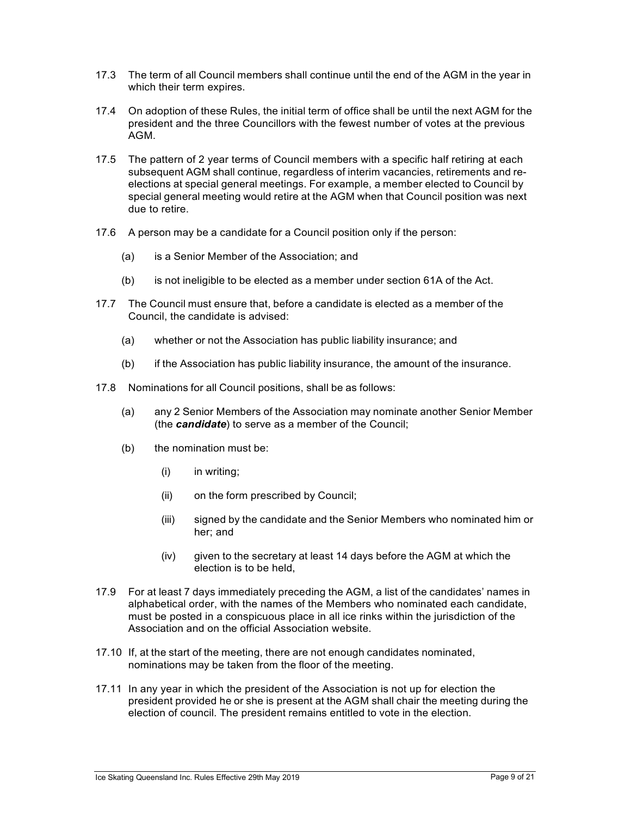- 17.3 The term of all Council members shall continue until the end of the AGM in the year in which their term expires.
- 17.4 On adoption of these Rules, the initial term of office shall be until the next AGM for the president and the three Councillors with the fewest number of votes at the previous AGM.
- 17.5 The pattern of 2 year terms of Council members with a specific half retiring at each subsequent AGM shall continue, regardless of interim vacancies, retirements and reelections at special general meetings. For example, a member elected to Council by special general meeting would retire at the AGM when that Council position was next due to retire.
- 17.6 A person may be a candidate for a Council position only if the person:
	- (a) is a Senior Member of the Association; and
	- (b) is not ineligible to be elected as a member under section 61A of the Act.
- 17.7 The Council must ensure that, before a candidate is elected as a member of the Council, the candidate is advised:
	- (a) whether or not the Association has public liability insurance; and
	- (b) if the Association has public liability insurance, the amount of the insurance.
- 17.8 Nominations for all Council positions, shall be as follows:
	- (a) any 2 Senior Members of the Association may nominate another Senior Member (the *candidate*) to serve as a member of the Council;
	- (b) the nomination must be:
		- (i) in writing;
		- (ii) on the form prescribed by Council;
		- (iii) signed by the candidate and the Senior Members who nominated him or her; and
		- (iv) given to the secretary at least 14 days before the AGM at which the election is to be held,
- 17.9 For at least 7 days immediately preceding the AGM, a list of the candidates' names in alphabetical order, with the names of the Members who nominated each candidate, must be posted in a conspicuous place in all ice rinks within the jurisdiction of the Association and on the official Association website.
- 17.10 If, at the start of the meeting, there are not enough candidates nominated, nominations may be taken from the floor of the meeting.
- 17.11 In any year in which the president of the Association is not up for election the president provided he or she is present at the AGM shall chair the meeting during the election of council. The president remains entitled to vote in the election.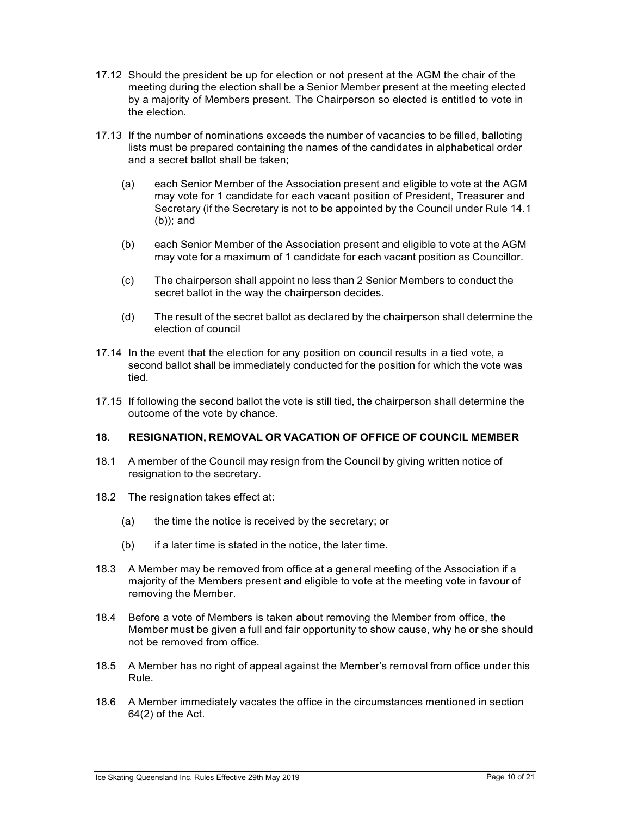- 17.12 Should the president be up for election or not present at the AGM the chair of the meeting during the election shall be a Senior Member present at the meeting elected by a majority of Members present. The Chairperson so elected is entitled to vote in the election.
- 17.13 If the number of nominations exceeds the number of vacancies to be filled, balloting lists must be prepared containing the names of the candidates in alphabetical order and a secret ballot shall be taken;
	- (a) each Senior Member of the Association present and eligible to vote at the AGM may vote for 1 candidate for each vacant position of President, Treasurer and Secretary (if the Secretary is not to be appointed by the Council under Rule 14.1 (b)); and
	- (b) each Senior Member of the Association present and eligible to vote at the AGM may vote for a maximum of 1 candidate for each vacant position as Councillor.
	- (c) The chairperson shall appoint no less than 2 Senior Members to conduct the secret ballot in the way the chairperson decides.
	- (d) The result of the secret ballot as declared by the chairperson shall determine the election of council
- 17.14 In the event that the election for any position on council results in a tied vote, a second ballot shall be immediately conducted for the position for which the vote was tied.
- 17.15 If following the second ballot the vote is still tied, the chairperson shall determine the outcome of the vote by chance.

#### **18. RESIGNATION, REMOVAL OR VACATION OF OFFICE OF COUNCIL MEMBER**

- 18.1 A member of the Council may resign from the Council by giving written notice of resignation to the secretary.
- 18.2 The resignation takes effect at:
	- (a) the time the notice is received by the secretary; or
	- $(b)$  if a later time is stated in the notice, the later time.
- 18.3 A Member may be removed from office at a general meeting of the Association if a majority of the Members present and eligible to vote at the meeting vote in favour of removing the Member.
- 18.4 Before a vote of Members is taken about removing the Member from office, the Member must be given a full and fair opportunity to show cause, why he or she should not be removed from office.
- 18.5 A Member has no right of appeal against the Member's removal from office under this Rule.
- 18.6 A Member immediately vacates the office in the circumstances mentioned in section 64(2) of the Act.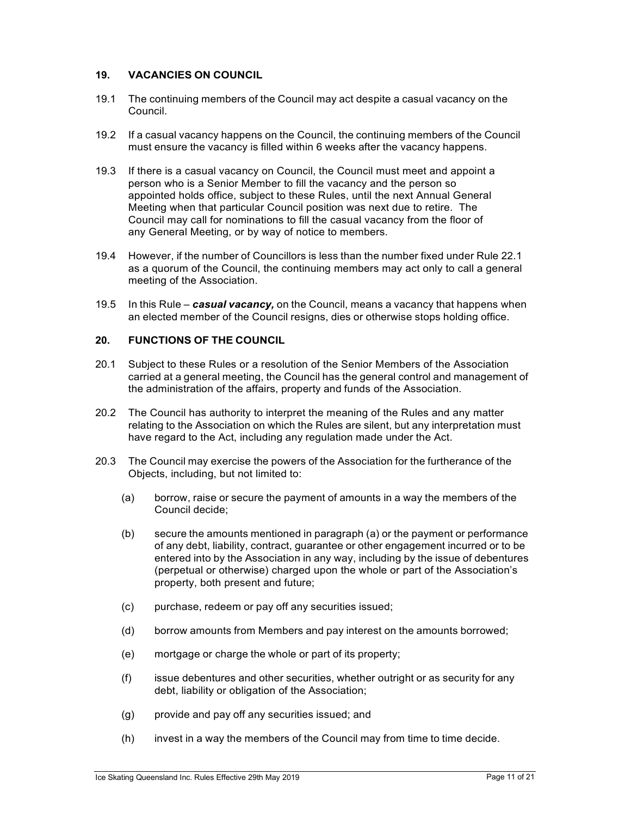# **19. VACANCIES ON COUNCIL**

- 19.1 The continuing members of the Council may act despite a casual vacancy on the Council.
- 19.2 If a casual vacancy happens on the Council, the continuing members of the Council must ensure the vacancy is filled within 6 weeks after the vacancy happens.
- 19.3 If there is a casual vacancy on Council, the Council must meet and appoint a person who is a Senior Member to fill the vacancy and the person so appointed holds office, subject to these Rules, until the next Annual General Meeting when that particular Council position was next due to retire. The Council may call for nominations to fill the casual vacancy from the floor of any General Meeting, or by way of notice to members.
- 19.4 However, if the number of Councillors is less than the number fixed under Rule 22.1 as a quorum of the Council, the continuing members may act only to call a general meeting of the Association.
- 19.5 In this Rule *casual vacancy,* on the Council, means a vacancy that happens when an elected member of the Council resigns, dies or otherwise stops holding office.

# **20. FUNCTIONS OF THE COUNCIL**

- 20.1 Subject to these Rules or a resolution of the Senior Members of the Association carried at a general meeting, the Council has the general control and management of the administration of the affairs, property and funds of the Association.
- 20.2 The Council has authority to interpret the meaning of the Rules and any matter relating to the Association on which the Rules are silent, but any interpretation must have regard to the Act, including any regulation made under the Act.
- 20.3 The Council may exercise the powers of the Association for the furtherance of the Objects, including, but not limited to:
	- (a) borrow, raise or secure the payment of amounts in a way the members of the Council decide;
	- (b) secure the amounts mentioned in paragraph (a) or the payment or performance of any debt, liability, contract, guarantee or other engagement incurred or to be entered into by the Association in any way, including by the issue of debentures (perpetual or otherwise) charged upon the whole or part of the Association's property, both present and future;
	- (c) purchase, redeem or pay off any securities issued;
	- (d) borrow amounts from Members and pay interest on the amounts borrowed;
	- (e) mortgage or charge the whole or part of its property;
	- (f) issue debentures and other securities, whether outright or as security for any debt, liability or obligation of the Association;
	- (g) provide and pay off any securities issued; and
	- (h) invest in a way the members of the Council may from time to time decide.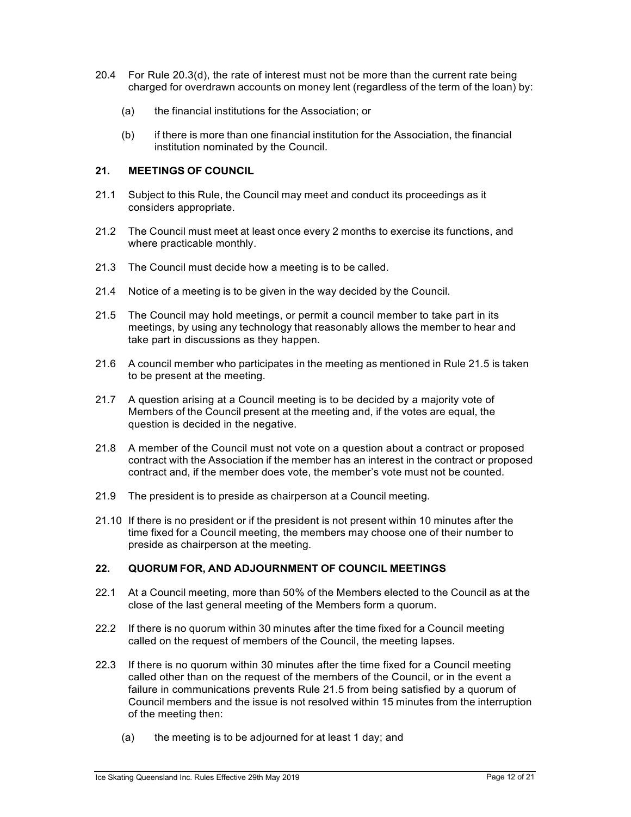- 20.4 For Rule 20.3(d), the rate of interest must not be more than the current rate being charged for overdrawn accounts on money lent (regardless of the term of the loan) by:
	- (a) the financial institutions for the Association; or
	- (b) if there is more than one financial institution for the Association, the financial institution nominated by the Council.

# **21. MEETINGS OF COUNCIL**

- 21.1 Subject to this Rule, the Council may meet and conduct its proceedings as it considers appropriate.
- 21.2 The Council must meet at least once every 2 months to exercise its functions, and where practicable monthly.
- 21.3 The Council must decide how a meeting is to be called.
- 21.4 Notice of a meeting is to be given in the way decided by the Council.
- 21.5 The Council may hold meetings, or permit a council member to take part in its meetings, by using any technology that reasonably allows the member to hear and take part in discussions as they happen.
- 21.6 A council member who participates in the meeting as mentioned in Rule 21.5 is taken to be present at the meeting.
- 21.7 A question arising at a Council meeting is to be decided by a majority vote of Members of the Council present at the meeting and, if the votes are equal, the question is decided in the negative.
- 21.8 A member of the Council must not vote on a question about a contract or proposed contract with the Association if the member has an interest in the contract or proposed contract and, if the member does vote, the member's vote must not be counted.
- 21.9 The president is to preside as chairperson at a Council meeting.
- 21.10 If there is no president or if the president is not present within 10 minutes after the time fixed for a Council meeting, the members may choose one of their number to preside as chairperson at the meeting.

# **22. QUORUM FOR, AND ADJOURNMENT OF COUNCIL MEETINGS**

- 22.1 At a Council meeting, more than 50% of the Members elected to the Council as at the close of the last general meeting of the Members form a quorum.
- 22.2 If there is no quorum within 30 minutes after the time fixed for a Council meeting called on the request of members of the Council, the meeting lapses.
- 22.3 If there is no quorum within 30 minutes after the time fixed for a Council meeting called other than on the request of the members of the Council, or in the event a failure in communications prevents Rule 21.5 from being satisfied by a quorum of Council members and the issue is not resolved within 15 minutes from the interruption of the meeting then:
	- (a) the meeting is to be adjourned for at least 1 day; and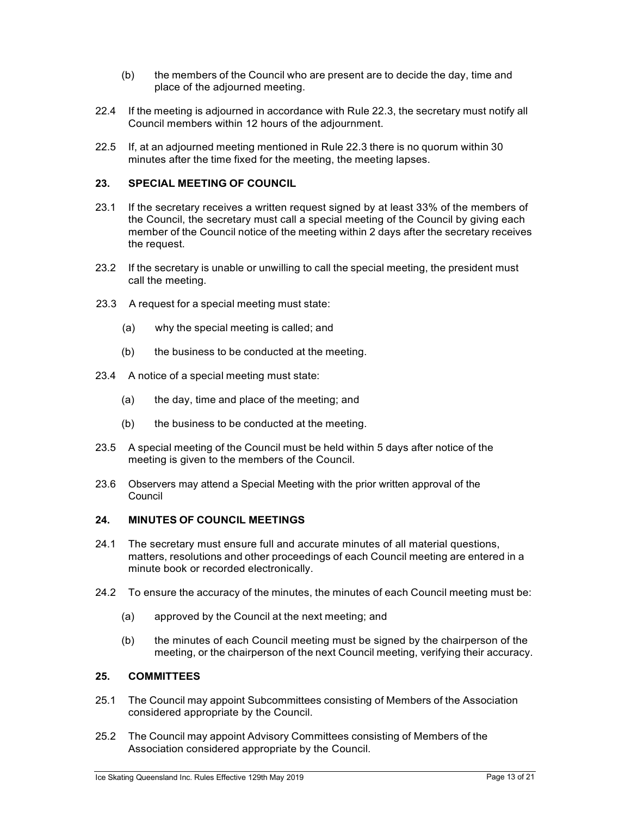- (b) the members of the Council who are present are to decide the day, time and place of the adjourned meeting.
- 22.4 If the meeting is adjourned in accordance with Rule 22.3, the secretary must notify all Council members within 12 hours of the adjournment.
- 22.5 If, at an adjourned meeting mentioned in Rule 22.3 there is no quorum within 30 minutes after the time fixed for the meeting, the meeting lapses.

#### **23. SPECIAL MEETING OF COUNCIL**

- 23.1 If the secretary receives a written request signed by at least 33% of the members of the Council, the secretary must call a special meeting of the Council by giving each member of the Council notice of the meeting within 2 days after the secretary receives the request.
- 23.2 If the secretary is unable or unwilling to call the special meeting, the president must call the meeting.
- 23.3 A request for a special meeting must state:
	- (a) why the special meeting is called; and
	- (b) the business to be conducted at the meeting.
- 23.4 A notice of a special meeting must state:
	- (a) the day, time and place of the meeting; and
	- (b) the business to be conducted at the meeting.
- 23.5 A special meeting of the Council must be held within 5 days after notice of the meeting is given to the members of the Council.
- 23.6 Observers may attend a Special Meeting with the prior written approval of the Council

#### **24. MINUTES OF COUNCIL MEETINGS**

- 24.1 The secretary must ensure full and accurate minutes of all material questions, matters, resolutions and other proceedings of each Council meeting are entered in a minute book or recorded electronically.
- 24.2 To ensure the accuracy of the minutes, the minutes of each Council meeting must be:
	- (a) approved by the Council at the next meeting; and
	- (b) the minutes of each Council meeting must be signed by the chairperson of the meeting, or the chairperson of the next Council meeting, verifying their accuracy.

## **25. COMMITTEES**

- 25.1 The Council may appoint Subcommittees consisting of Members of the Association considered appropriate by the Council.
- 25.2 The Council may appoint Advisory Committees consisting of Members of the Association considered appropriate by the Council.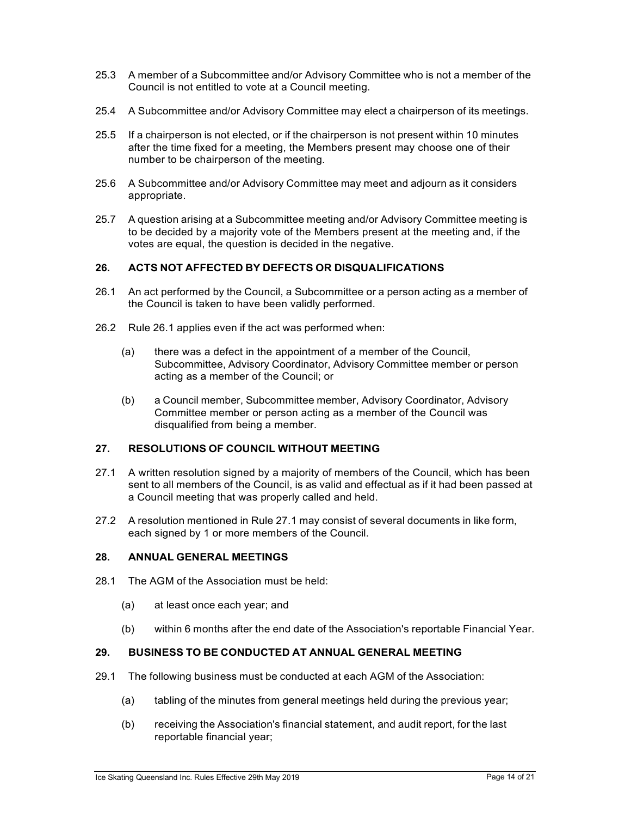- 25.3 A member of a Subcommittee and/or Advisory Committee who is not a member of the Council is not entitled to vote at a Council meeting.
- 25.4 A Subcommittee and/or Advisory Committee may elect a chairperson of its meetings.
- 25.5 If a chairperson is not elected, or if the chairperson is not present within 10 minutes after the time fixed for a meeting, the Members present may choose one of their number to be chairperson of the meeting.
- 25.6 A Subcommittee and/or Advisory Committee may meet and adjourn as it considers appropriate.
- 25.7 A question arising at a Subcommittee meeting and/or Advisory Committee meeting is to be decided by a majority vote of the Members present at the meeting and, if the votes are equal, the question is decided in the negative.

# **26. ACTS NOT AFFECTED BY DEFECTS OR DISQUALIFICATIONS**

- 26.1 An act performed by the Council, a Subcommittee or a person acting as a member of the Council is taken to have been validly performed.
- 26.2 Rule 26.1 applies even if the act was performed when:
	- (a) there was a defect in the appointment of a member of the Council, Subcommittee, Advisory Coordinator, Advisory Committee member or person acting as a member of the Council; or
	- (b) a Council member, Subcommittee member, Advisory Coordinator, Advisory Committee member or person acting as a member of the Council was disqualified from being a member.

# **27. RESOLUTIONS OF COUNCIL WITHOUT MEETING**

- 27.1 A written resolution signed by a majority of members of the Council, which has been sent to all members of the Council, is as valid and effectual as if it had been passed at a Council meeting that was properly called and held.
- 27.2 A resolution mentioned in Rule 27.1 may consist of several documents in like form, each signed by 1 or more members of the Council.

#### **28. ANNUAL GENERAL MEETINGS**

- 28.1 The AGM of the Association must be held:
	- (a) at least once each year; and
	- (b) within 6 months after the end date of the Association's reportable Financial Year.

# **29. BUSINESS TO BE CONDUCTED AT ANNUAL GENERAL MEETING**

- 29.1 The following business must be conducted at each AGM of the Association:
	- (a) tabling of the minutes from general meetings held during the previous year;
	- (b) receiving the Association's financial statement, and audit report, for the last reportable financial year;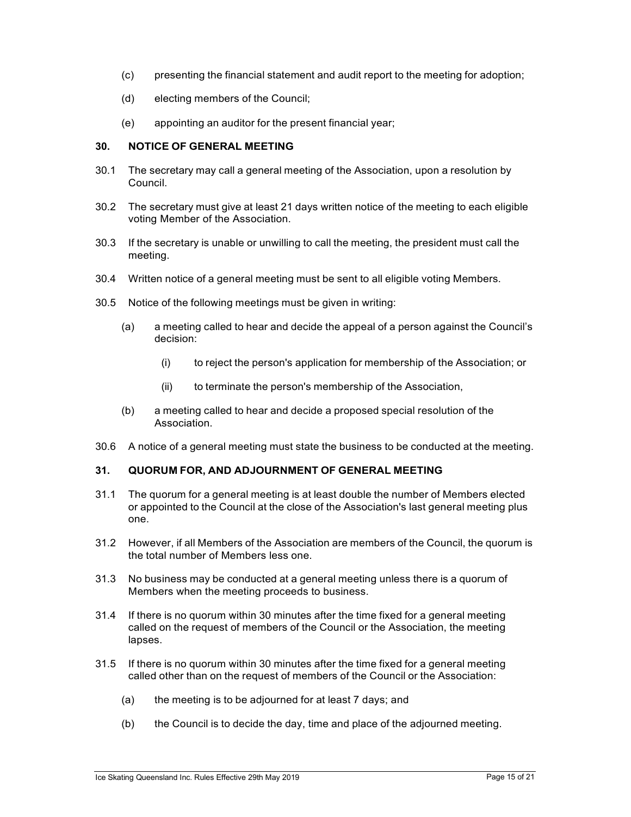- (c) presenting the financial statement and audit report to the meeting for adoption;
- (d) electing members of the Council;
- (e) appointing an auditor for the present financial year;

#### **30. NOTICE OF GENERAL MEETING**

- 30.1 The secretary may call a general meeting of the Association, upon a resolution by Council.
- 30.2 The secretary must give at least 21 days written notice of the meeting to each eligible voting Member of the Association.
- 30.3 If the secretary is unable or unwilling to call the meeting, the president must call the meeting.
- 30.4 Written notice of a general meeting must be sent to all eligible voting Members.
- 30.5 Notice of the following meetings must be given in writing:
	- (a) a meeting called to hear and decide the appeal of a person against the Council's decision:
		- (i) to reject the person's application for membership of the Association; or
		- (ii) to terminate the person's membership of the Association,
	- (b) a meeting called to hear and decide a proposed special resolution of the Association.
- 30.6 A notice of a general meeting must state the business to be conducted at the meeting.

# **31. QUORUM FOR, AND ADJOURNMENT OF GENERAL MEETING**

- 31.1 The quorum for a general meeting is at least double the number of Members elected or appointed to the Council at the close of the Association's last general meeting plus one.
- 31.2 However, if all Members of the Association are members of the Council, the quorum is the total number of Members less one.
- 31.3 No business may be conducted at a general meeting unless there is a quorum of Members when the meeting proceeds to business.
- 31.4 If there is no quorum within 30 minutes after the time fixed for a general meeting called on the request of members of the Council or the Association, the meeting lapses.
- 31.5 If there is no quorum within 30 minutes after the time fixed for a general meeting called other than on the request of members of the Council or the Association:
	- (a) the meeting is to be adjourned for at least 7 days; and
	- (b) the Council is to decide the day, time and place of the adjourned meeting.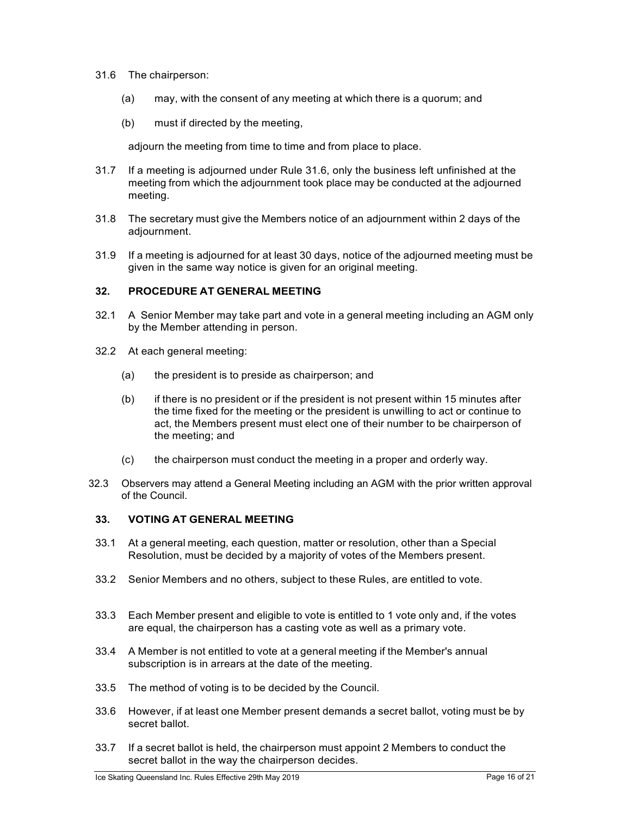- 31.6 The chairperson:
	- (a) may, with the consent of any meeting at which there is a quorum; and
	- (b) must if directed by the meeting,

adjourn the meeting from time to time and from place to place.

- 31.7 If a meeting is adjourned under Rule 31.6, only the business left unfinished at the meeting from which the adjournment took place may be conducted at the adjourned meeting.
- 31.8 The secretary must give the Members notice of an adjournment within 2 days of the adjournment.
- 31.9 If a meeting is adjourned for at least 30 days, notice of the adjourned meeting must be given in the same way notice is given for an original meeting.

## **32. PROCEDURE AT GENERAL MEETING**

- 32.1 A Senior Member may take part and vote in a general meeting including an AGM only by the Member attending in person.
- 32.2 At each general meeting:
	- (a) the president is to preside as chairperson; and
	- (b) if there is no president or if the president is not present within 15 minutes after the time fixed for the meeting or the president is unwilling to act or continue to act, the Members present must elect one of their number to be chairperson of the meeting; and
	- (c) the chairperson must conduct the meeting in a proper and orderly way.
- 32.3 Observers may attend a General Meeting including an AGM with the prior written approval of the Council.

# **33. VOTING AT GENERAL MEETING**

- 33.1 At a general meeting, each question, matter or resolution, other than a Special Resolution, must be decided by a majority of votes of the Members present.
- 33.2 Senior Members and no others, subject to these Rules, are entitled to vote.
- 33.3 Each Member present and eligible to vote is entitled to 1 vote only and, if the votes are equal, the chairperson has a casting vote as well as a primary vote.
- 33.4 A Member is not entitled to vote at a general meeting if the Member's annual subscription is in arrears at the date of the meeting.
- 33.5 The method of voting is to be decided by the Council.
- 33.6 However, if at least one Member present demands a secret ballot, voting must be by secret ballot.
- 33.7 If a secret ballot is held, the chairperson must appoint 2 Members to conduct the secret ballot in the way the chairperson decides.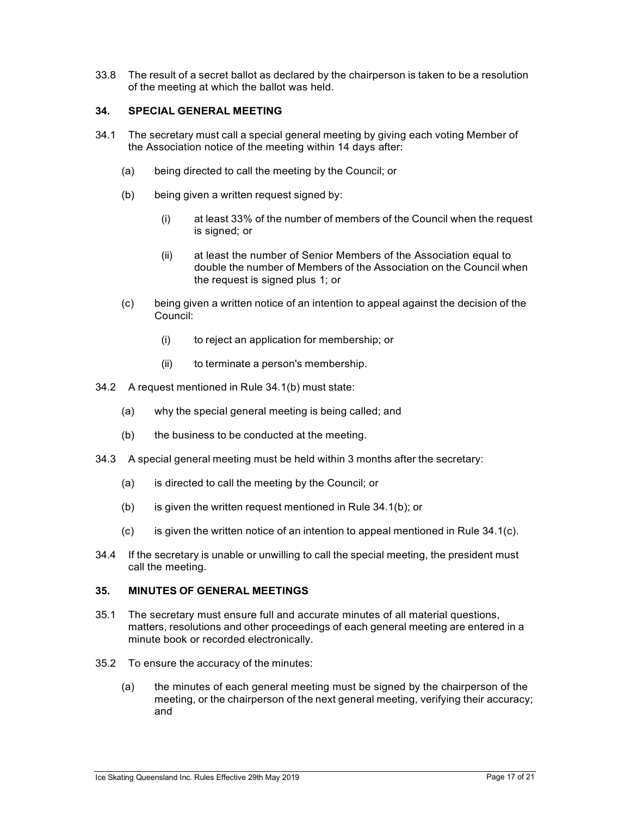33.8 The result of a secret ballot as declared by the chairperson is taken to be a resolution of the meeting at which the ballot was held.

# **34. SPECIAL GENERAL MEETING**

- 34.1 The secretary must call a special general meeting by giving each voting Member of the Association notice of the meeting within 14 days after:
	- (a) being directed to call the meeting by the Council; or
	- (b) being given a written request signed by:
		- (i) at least 33% of the number of members of the Council when the request is signed; or
		- (ii) at least the number of Senior Members of the Association equal to double the number of Members of the Association on the Council when the request is signed plus 1; or
	- (c) being given a written notice of an intention to appeal against the decision of the Council:
		- (i) to reject an application for membership; or
		- (ii) to terminate a person's membership.
- 34.2 A request mentioned in Rule 34.1(b) must state:
	- (a) why the special general meeting is being called; and
	- (b) the business to be conducted at the meeting.
- 34.3 A special general meeting must be held within 3 months after the secretary:
	- (a) is directed to call the meeting by the Council; or
	- (b) is given the written request mentioned in Rule 34.1(b); or
	- $(c)$  is given the written notice of an intention to appeal mentioned in Rule 34.1(c).
- 34.4 If the secretary is unable or unwilling to call the special meeting, the president must call the meeting.

#### **35. MINUTES OF GENERAL MEETINGS**

- 35.1 The secretary must ensure full and accurate minutes of all material questions, matters, resolutions and other proceedings of each general meeting are entered in a minute book or recorded electronically.
- 35.2 To ensure the accuracy of the minutes:
	- (a) the minutes of each general meeting must be signed by the chairperson of the meeting, or the chairperson of the next general meeting, verifying their accuracy; and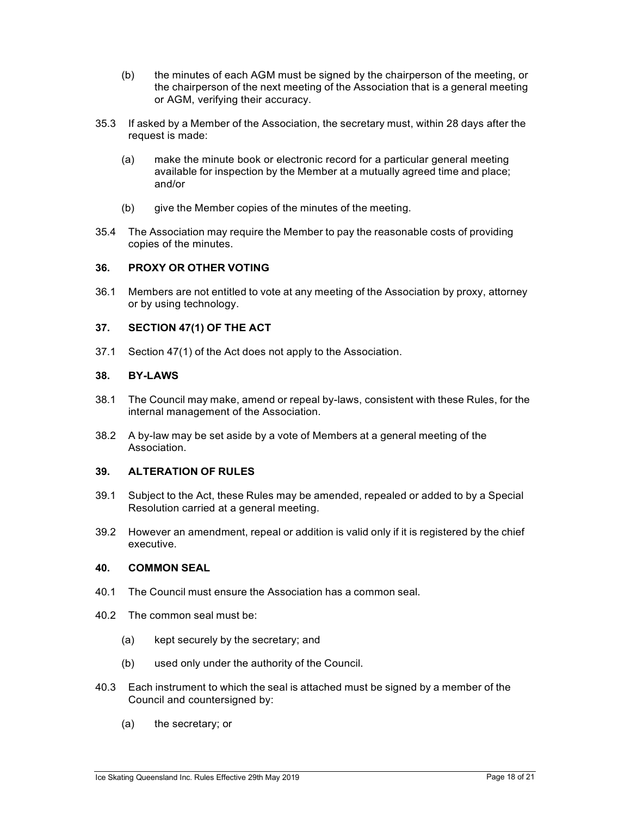- (b) the minutes of each AGM must be signed by the chairperson of the meeting, or the chairperson of the next meeting of the Association that is a general meeting or AGM, verifying their accuracy.
- 35.3 If asked by a Member of the Association, the secretary must, within 28 days after the request is made:
	- (a) make the minute book or electronic record for a particular general meeting available for inspection by the Member at a mutually agreed time and place; and/or
	- (b) give the Member copies of the minutes of the meeting.
- 35.4 The Association may require the Member to pay the reasonable costs of providing copies of the minutes.

#### **36. PROXY OR OTHER VOTING**

36.1 Members are not entitled to vote at any meeting of the Association by proxy, attorney or by using technology.

#### **37. SECTION 47(1) OF THE ACT**

37.1 Section 47(1) of the Act does not apply to the Association.

#### **38. BY-LAWS**

- 38.1 The Council may make, amend or repeal by-laws, consistent with these Rules, for the internal management of the Association.
- 38.2 A by-law may be set aside by a vote of Members at a general meeting of the Association.

# **39. ALTERATION OF RULES**

- 39.1 Subject to the Act, these Rules may be amended, repealed or added to by a Special Resolution carried at a general meeting.
- 39.2 However an amendment, repeal or addition is valid only if it is registered by the chief executive.

#### **40. COMMON SEAL**

- 40.1 The Council must ensure the Association has a common seal.
- 40.2 The common seal must be:
	- (a) kept securely by the secretary; and
	- (b) used only under the authority of the Council.
- 40.3 Each instrument to which the seal is attached must be signed by a member of the Council and countersigned by:
	- (a) the secretary; or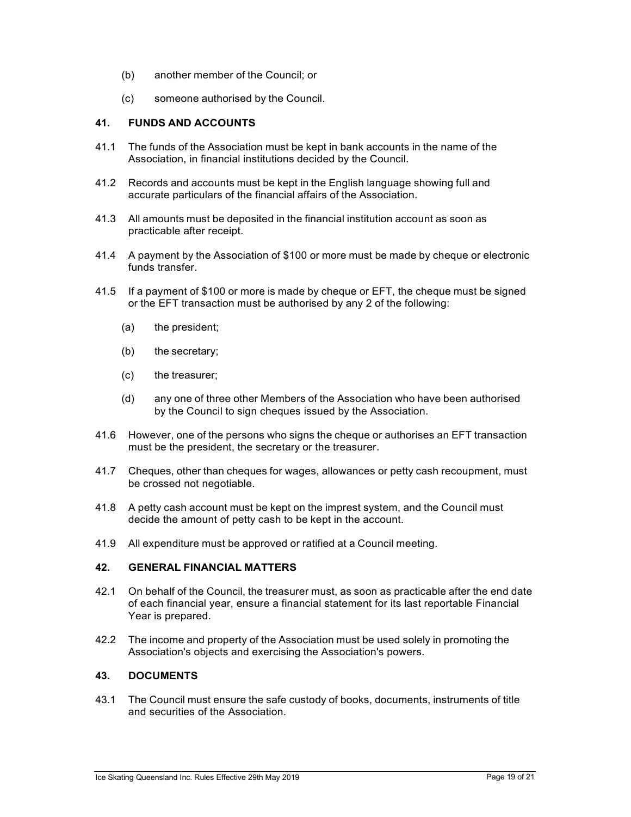- (b) another member of the Council; or
- (c) someone authorised by the Council.

## **41. FUNDS AND ACCOUNTS**

- 41.1 The funds of the Association must be kept in bank accounts in the name of the Association, in financial institutions decided by the Council.
- 41.2 Records and accounts must be kept in the English language showing full and accurate particulars of the financial affairs of the Association.
- 41.3 All amounts must be deposited in the financial institution account as soon as practicable after receipt.
- 41.4 A payment by the Association of \$100 or more must be made by cheque or electronic funds transfer.
- 41.5 If a payment of \$100 or more is made by cheque or EFT, the cheque must be signed or the EFT transaction must be authorised by any 2 of the following:
	- (a) the president;
	- (b) the secretary;
	- (c) the treasurer;
	- (d) any one of three other Members of the Association who have been authorised by the Council to sign cheques issued by the Association.
- 41.6 However, one of the persons who signs the cheque or authorises an EFT transaction must be the president, the secretary or the treasurer.
- 41.7 Cheques, other than cheques for wages, allowances or petty cash recoupment, must be crossed not negotiable.
- 41.8 A petty cash account must be kept on the imprest system, and the Council must decide the amount of petty cash to be kept in the account.
- 41.9 All expenditure must be approved or ratified at a Council meeting.

# **42. GENERAL FINANCIAL MATTERS**

- 42.1 On behalf of the Council, the treasurer must, as soon as practicable after the end date of each financial year, ensure a financial statement for its last reportable Financial Year is prepared.
- 42.2 The income and property of the Association must be used solely in promoting the Association's objects and exercising the Association's powers.

## **43. DOCUMENTS**

43.1 The Council must ensure the safe custody of books, documents, instruments of title and securities of the Association.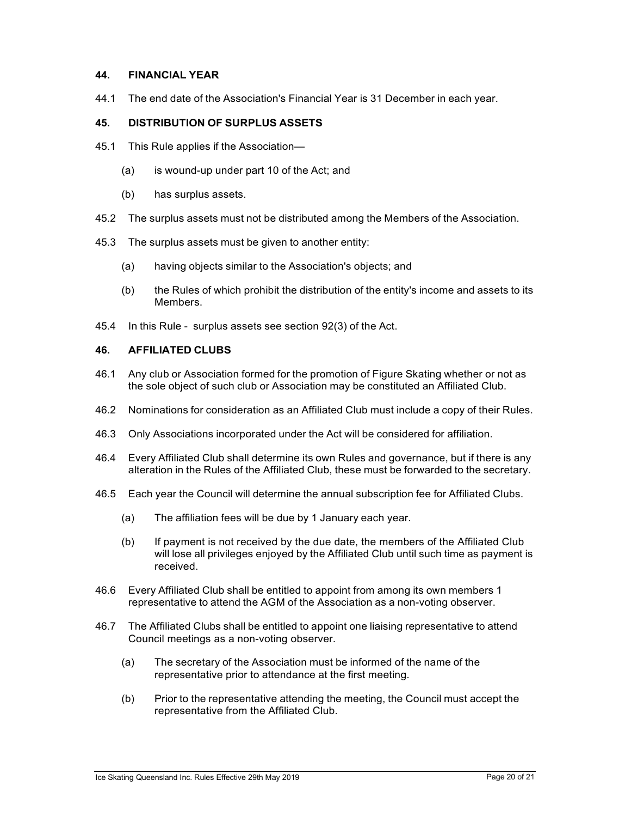#### **44. FINANCIAL YEAR**

44.1 The end date of the Association's Financial Year is 31 December in each year.

#### **45. DISTRIBUTION OF SURPLUS ASSETS**

- 45.1 This Rule applies if the Association—
	- (a) is wound-up under part 10 of the Act; and
	- (b) has surplus assets.
- 45.2 The surplus assets must not be distributed among the Members of the Association.
- 45.3 The surplus assets must be given to another entity:
	- (a) having objects similar to the Association's objects; and
	- (b) the Rules of which prohibit the distribution of the entity's income and assets to its Members.
- 45.4 In this Rule surplus assets see section 92(3) of the Act.

#### **46. AFFILIATED CLUBS**

- 46.1 Any club or Association formed for the promotion of Figure Skating whether or not as the sole object of such club or Association may be constituted an Affiliated Club.
- 46.2 Nominations for consideration as an Affiliated Club must include a copy of their Rules.
- 46.3 Only Associations incorporated under the Act will be considered for affiliation.
- 46.4 Every Affiliated Club shall determine its own Rules and governance, but if there is any alteration in the Rules of the Affiliated Club, these must be forwarded to the secretary.
- 46.5 Each year the Council will determine the annual subscription fee for Affiliated Clubs.
	- (a) The affiliation fees will be due by 1 January each year.
	- (b) If payment is not received by the due date, the members of the Affiliated Club will lose all privileges enjoyed by the Affiliated Club until such time as payment is received.
- 46.6 Every Affiliated Club shall be entitled to appoint from among its own members 1 representative to attend the AGM of the Association as a non-voting observer.
- 46.7 The Affiliated Clubs shall be entitled to appoint one liaising representative to attend Council meetings as a non-voting observer.
	- (a) The secretary of the Association must be informed of the name of the representative prior to attendance at the first meeting.
	- (b) Prior to the representative attending the meeting, the Council must accept the representative from the Affiliated Club.